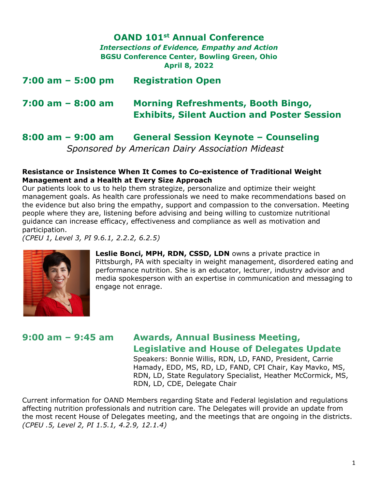## **OAND 101st Annual Conference**

*Intersections of Evidence, Empathy and Action* **BGSU Conference Center, Bowling Green, Ohio April 8, 2022** 

| $7:00$ am $-5:00$ pm | <b>Registration Open</b>                                                                        |
|----------------------|-------------------------------------------------------------------------------------------------|
| $7:00$ am $-8:00$ am | <b>Morning Refreshments, Booth Bingo,</b><br><b>Exhibits, Silent Auction and Poster Session</b> |

# **8:00 am – 9:00 am General Session Keynote – Counseling**   *Sponsored by American Dairy Association Mideast*

#### **Resistance or Insistence When It Comes to Co-existence of Traditional Weight Management and a Health at Every Size Approach**

Our patients look to us to help them strategize, personalize and optimize their weight management goals. As health care professionals we need to make recommendations based on the evidence but also bring the empathy, support and compassion to the conversation. Meeting people where they are, listening before advising and being willing to customize nutritional guidance can increase efficacy, effectiveness and compliance as well as motivation and participation.

*(CPEU 1, Level 3, PI 9.6.1, 2.2.2, 6.2.5)* 



**Leslie Bonci, MPH, RDN, CSSD, LDN** owns a private practice in Pittsburgh, PA with specialty in weight management, disordered eating and performance nutrition. She is an educator, lecturer, industry advisor and media spokesperson with an expertise in communication and messaging to engage not enrage.

# **9:00 am – 9:45 am Awards, Annual Business Meeting, Legislative and House of Delegates Update**

Speakers: Bonnie Willis, RDN, LD, FAND, President, Carrie Hamady, EDD, MS, RD, LD, FAND, CPI Chair, Kay Mavko, MS, RDN, LD, State Regulatory Specialist, Heather McCormick, MS, RDN, LD, CDE, Delegate Chair

Current information for OAND Members regarding State and Federal legislation and regulations affecting nutrition professionals and nutrition care. The Delegates will provide an update from the most recent House of Delegates meeting, and the meetings that are ongoing in the districts. *(CPEU .5, Level 2, PI 1.5.1, 4.2.9, 12.1.4)*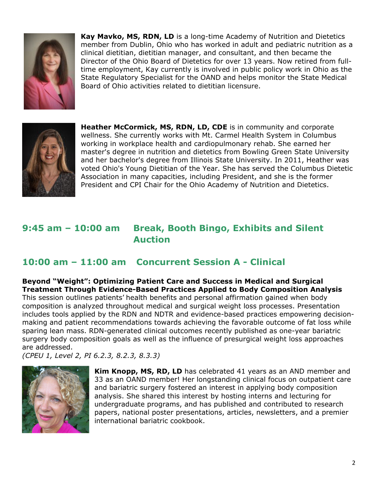

**Kay Mavko, MS, RDN, LD** is a long-time Academy of Nutrition and Dietetics member from Dublin, Ohio who has worked in adult and pediatric nutrition as a clinical dietitian, dietitian manager, and consultant, and then became the Director of the Ohio Board of Dietetics for over 13 years. Now retired from fulltime employment, Kay currently is involved in public policy work in Ohio as the State Regulatory Specialist for the OAND and helps monitor the State Medical Board of Ohio activities related to dietitian licensure.



**Heather McCormick, MS, RDN, LD, CDE** is in community and corporate wellness. She currently works with Mt. Carmel Health System in Columbus working in workplace health and cardiopulmonary rehab. She earned her master's degree in nutrition and dietetics from Bowling Green State University and her bachelor's degree from Illinois State University. In 2011, Heather was voted Ohio's Young Dietitian of the Year. She has served the Columbus Dietetic Association in many capacities, including President, and she is the former President and CPI Chair for the Ohio Academy of Nutrition and Dietetics.

# **9:45 am – 10:00 am Break, Booth Bingo, Exhibits and Silent Auction**

# **10:00 am – 11:00 am Concurrent Session A - Clinical**

**Beyond "Weight": Optimizing Patient Care and Success in Medical and Surgical Treatment Through Evidence-Based Practices Applied to Body Composition Analysis**  This session outlines patients' health benefits and personal affirmation gained when body composition is analyzed throughout medical and surgical weight loss processes. Presentation includes tools applied by the RDN and NDTR and evidence-based practices empowering decisionmaking and patient recommendations towards achieving the favorable outcome of fat loss while sparing lean mass. RDN-generated clinical outcomes recently published as one-year bariatric surgery body composition goals as well as the influence of presurgical weight loss approaches are addressed.

*(CPEU 1, Level 2, PI 6.2.3, 8.2.3, 8.3.3)*



**Kim Knopp, MS, RD, LD** has celebrated 41 years as an AND member and 33 as an OAND member! Her longstanding clinical focus on outpatient care and bariatric surgery fostered an interest in applying body composition analysis. She shared this interest by hosting interns and lecturing for undergraduate programs, and has published and contributed to research papers, national poster presentations, articles, newsletters, and a premier international bariatric cookbook.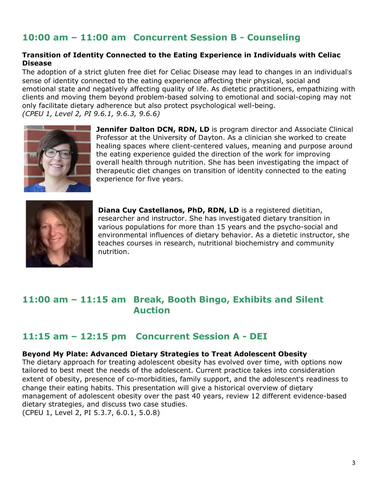# **10:00 am – 11:00 am Concurrent Session B - Counseling**

### **Transition of Identity Connected to the Eating Experience in Individuals with Celiac Disease**

The adoption of a strict gluten free diet for Celiac Disease may lead to changes in an individual's sense of identity connected to the eating experience affecting their physical, social and emotional state and negatively affecting quality of life. As dietetic practitioners, empathizing with clients and moving them beyond problem-based solving to emotional and social-coping may not only facilitate dietary adherence but also protect psychological well-being. *(CPEU 1, Level 2, PI 9.6.1, 9.6.3, 9.6.6)*



**Jennifer Dalton DCN, RDN, LD** is program director and Associate Clinical Professor at the University of Dayton. As a clinician she worked to create healing spaces where client-centered values, meaning and purpose around the eating experience guided the direction of the work for improving overall health through nutrition. She has been investigating the impact of therapeutic diet changes on transition of identity connected to the eating experience for five years.



**Diana Cuy Castellanos, PhD, RDN, LD** is a registered dietitian, researcher and instructor. She has investigated dietary transition in various populations for more than 15 years and the psycho-social and environmental influences of dietary behavior. As a dietetic instructor, she teaches courses in research, nutritional biochemistry and community nutrition.

## **11:00 am – 11:15 am Break, Booth Bingo, Exhibits and Silent Auction**

## **11:15 am – 12:15 pm Concurrent Session A - DEI**

#### **Beyond My Plate: Advanced Dietary Strategies to Treat Adolescent Obesity**

The dietary approach for treating adolescent obesity has evolved over time, with options now tailored to best meet the needs of the adolescent. Current practice takes into consideration extent of obesity, presence of co-morbidities, family support, and the adolescent's readiness to change their eating habits. This presentation will give a historical overview of dietary management of adolescent obesity over the past 40 years, review 12 different evidence-based dietary strategies, and discuss two case studies.

(CPEU 1, Level 2, PI 5.3.7, 6.0.1, 5.0.8)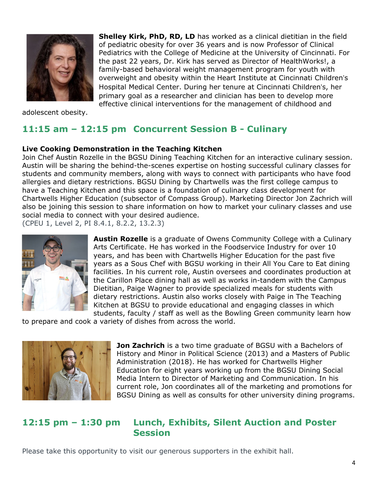

adolescent obesity.

# **11:15 am – 12:15 pm Concurrent Session B - Culinary**

### **Live Cooking Demonstration in the Teaching Kitchen**

Join Chef Austin Rozelle in the BGSU Dining Teaching Kitchen for an interactive culinary session. Austin will be sharing the behind-the-scenes expertise on hosting successful culinary classes for students and community members, along with ways to connect with participants who have food allergies and dietary restrictions. BGSU Dining by Chartwells was the first college campus to have a Teaching Kitchen and this space is a foundation of culinary class development for Chartwells Higher Education (subsector of Compass Group). Marketing Director Jon Zachrich will also be joining this session to share information on how to market your culinary classes and use social media to connect with your desired audience.

(CPEU 1, Level 2, PI 8.4.1, 8.2.2, 13.2.3)



**Austin Rozelle** is a graduate of Owens Community College with a Culinary Arts Certificate. He has worked in the Foodservice Industry for over 10 years, and has been with Chartwells Higher Education for the past five years as a Sous Chef with BGSU working in their All You Care to Eat dining facilities. In his current role, Austin oversees and coordinates production at the Carillon Place dining hall as well as works in-tandem with the Campus Dietitian, Paige Wagner to provide specialized meals for students with dietary restrictions. Austin also works closely with Paige in The Teaching Kitchen at BGSU to provide educational and engaging classes in which students, faculty / staff as well as the Bowling Green community learn how

**Shelley Kirk, PhD, RD, LD** has worked as a clinical dietitian in the field of pediatric obesity for over 36 years and is now Professor of Clinical Pediatrics with the College of Medicine at the University of Cincinnati. For the past 22 years, Dr. Kirk has served as Director of HealthWorks!, a family-based behavioral weight management program for youth with overweight and obesity within the Heart Institute at Cincinnati Children's Hospital Medical Center. During her tenure at Cincinnati Children's, her primary goal as a researcher and clinician has been to develop more effective clinical interventions for the management of childhood and

to prepare and cook a variety of dishes from across the world.



**Jon Zachrich** is a two time graduate of BGSU with a Bachelors of History and Minor in Political Science (2013) and a Masters of Public Administration (2018). He has worked for Chartwells Higher Education for eight years working up from the BGSU Dining Social Media Intern to Director of Marketing and Communication. In his current role, Jon coordinates all of the marketing and promotions for BGSU Dining as well as consults for other university dining programs.

## **12:15 pm – 1:30 pm Lunch, Exhibits, Silent Auction and Poster Session**

Please take this opportunity to visit our generous supporters in the exhibit hall.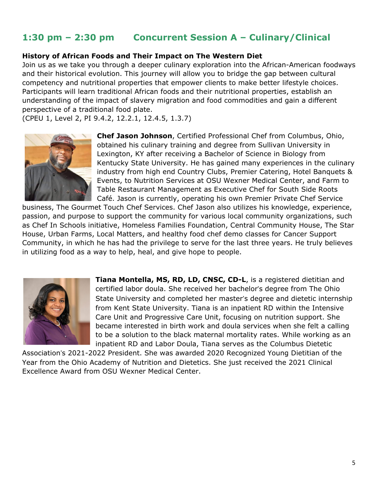# **1:30 pm – 2:30 pm Concurrent Session A – Culinary/Clinical**

#### **History of African Foods and Their Impact on The Western Diet**

Join us as we take you through a deeper culinary exploration into the African-American foodways and their historical evolution. This journey will allow you to bridge the gap between cultural competency and nutritional properties that empower clients to make better lifestyle choices. Participants will learn traditional African foods and their nutritional properties, establish an understanding of the impact of slavery migration and food commodities and gain a different perspective of a traditional food plate.

(CPEU 1, Level 2, PI 9.4.2, 12.2.1, 12.4.5, 1.3.7)



**Chef Jason Johnson**, Certified Professional Chef from Columbus, Ohio, obtained his culinary training and degree from Sullivan University in Lexington, KY after receiving a Bachelor of Science in Biology from Kentucky State University. He has gained many experiences in the culinary industry from high end Country Clubs, Premier Catering, Hotel Banquets & Events, to Nutrition Services at OSU Wexner Medical Center, and Farm to Table Restaurant Management as Executive Chef for South Side Roots Café. Jason is currently, operating his own Premier Private Chef Service

business, The Gourmet Touch Chef Services. Chef Jason also utilizes his knowledge, experience, passion, and purpose to support the community for various local community organizations, such as Chef In Schools initiative, Homeless Families Foundation, Central Community House, The Star House, Urban Farms, Local Matters, and healthy food chef demo classes for Cancer Support Community, in which he has had the privilege to serve for the last three years. He truly believes in utilizing food as a way to help, heal, and give hope to people.



**Tiana Montella, MS, RD, LD, CNSC, CD-L**, is a registered dietitian and certified labor doula. She received her bachelor's degree from The Ohio State University and completed her master's degree and dietetic internship from Kent State University. Tiana is an inpatient RD within the Intensive Care Unit and Progressive Care Unit, focusing on nutrition support. She became interested in birth work and doula services when she felt a calling to be a solution to the black maternal mortality rates. While working as an inpatient RD and Labor Doula, Tiana serves as the Columbus Dietetic

Association's 2021-2022 President. She was awarded 2020 Recognized Young Dietitian of the Year from the Ohio Academy of Nutrition and Dietetics. She just received the 2021 Clinical Excellence Award from OSU Wexner Medical Center.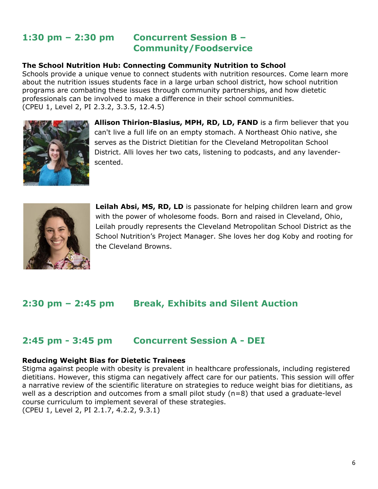## **1:30 pm – 2:30 pm Concurrent Session B – Community/Foodservice**

### **The School Nutrition Hub: Connecting Community Nutrition to School**

Schools provide a unique venue to connect students with nutrition resources. Come learn more about the nutrition issues students face in a large urban school district, how school nutrition programs are combating these issues through community partnerships, and how dietetic professionals can be involved to make a difference in their school communities. (CPEU 1, Level 2, PI 2.3.2, 3.3.5, 12.4.5)



**Allison Thirion-Blasius, MPH, RD, LD, FAND** is a firm believer that you can't live a full life on an empty stomach. A Northeast Ohio native, she serves as the District Dietitian for the Cleveland Metropolitan School District. Alli loves her two cats, listening to podcasts, and any lavenderscented.



**Leilah Absi, MS, RD, LD** is passionate for helping children learn and grow with the power of wholesome foods. Born and raised in Cleveland, Ohio, Leilah proudly represents the Cleveland Metropolitan School District as the School Nutrition's Project Manager. She loves her dog Koby and rooting for the Cleveland Browns.

# **2:30 pm – 2:45 pm Break, Exhibits and Silent Auction**

## **2:45 pm - 3:45 pm Concurrent Session A - DEI**

#### **Reducing Weight Bias for Dietetic Trainees**

Stigma against people with obesity is prevalent in healthcare professionals, including registered dietitians. However, this stigma can negatively affect care for our patients. This session will offer a narrative review of the scientific literature on strategies to reduce weight bias for dietitians, as well as a description and outcomes from a small pilot study (n=8) that used a graduate-level course curriculum to implement several of these strategies. (CPEU 1, Level 2, PI 2.1.7, 4.2.2, 9.3.1)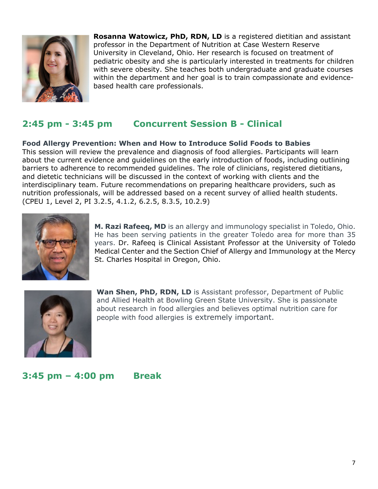

**Rosanna Watowicz, PhD, RDN, LD** is a registered dietitian and assistant professor in the Department of Nutrition at Case Western Reserve University in Cleveland, Ohio. Her research is focused on treatment of pediatric obesity and she is particularly interested in treatments for children with severe obesity. She teaches both undergraduate and graduate courses within the department and her goal is to train compassionate and evidencebased health care professionals.

# **2:45 pm - 3:45 pm Concurrent Session B - Clinical**

**Food Allergy Prevention: When and How to Introduce Solid Foods to Babies**  This session will review the prevalence and diagnosis of food allergies. Participants will learn about the current evidence and guidelines on the early introduction of foods, including outlining barriers to adherence to recommended guidelines. The role of clinicians, registered dietitians, and dietetic technicians will be discussed in the context of working with clients and the interdisciplinary team. Future recommendations on preparing healthcare providers, such as nutrition professionals, will be addressed based on a recent survey of allied health students. (CPEU 1, Level 2, PI 3.2.5, 4.1.2, 6.2.5, 8.3.5, 10.2.9)



**M. Razi Rafeeq, MD** is an allergy and immunology specialist in Toledo, Ohio. He has been serving patients in the greater Toledo area for more than 35 years. Dr. Rafeeq is Clinical Assistant Professor at the University of Toledo Medical Center and the Section Chief of Allergy and Immunology at the Mercy St. Charles Hospital in Oregon, Ohio.



Wan Shen, PhD, RDN, LD is Assistant professor, Department of Public and Allied Health at Bowling Green State University. She is passionate about research in food allergies and believes optimal nutrition care for people with food allergies is extremely important.

## **3:45 pm – 4:00 pm Break**